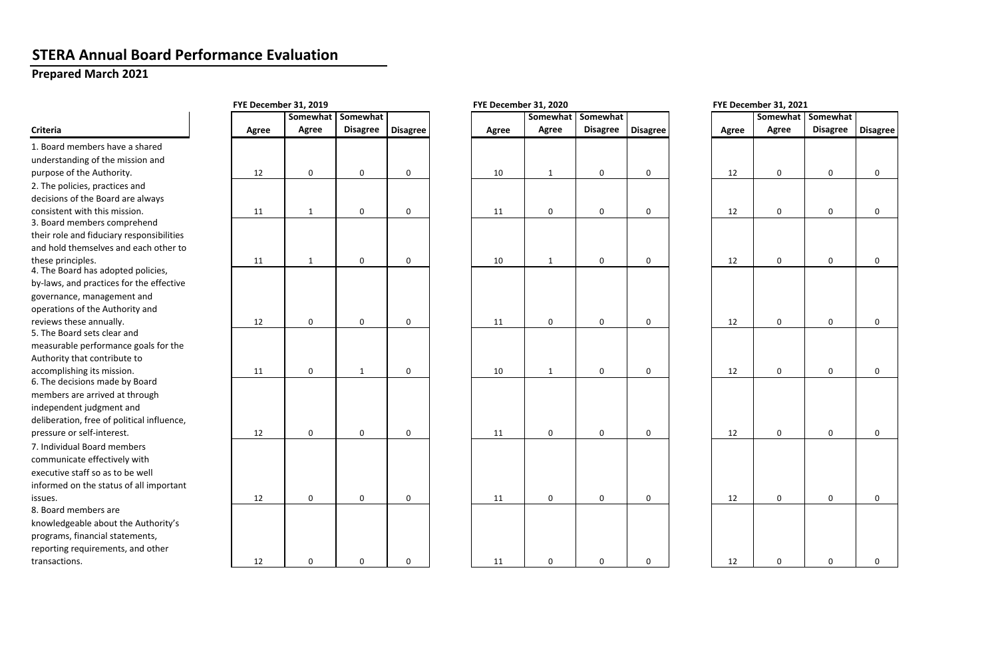## **STERA Annual Board Performance Evaluation**

## **Prepared March 2021**

|                                                                        | FYE December 31, 2019 |             |                 |                 |       | FYE December 31, 2020 | FYE December 31, 2021 |                 |  |       |                 |                 |                 |
|------------------------------------------------------------------------|-----------------------|-------------|-----------------|-----------------|-------|-----------------------|-----------------------|-----------------|--|-------|-----------------|-----------------|-----------------|
|                                                                        |                       | Somewhat    | Somewhat        |                 |       | Somewhat              | Somewhat              |                 |  |       | <b>Somewhat</b> | Somewhat        |                 |
| Criteria                                                               | Agree                 | Agree       | <b>Disagree</b> | <b>Disagree</b> | Agree | <b>Agree</b>          | <b>Disagree</b>       | <b>Disagree</b> |  | Agree | <b>Agree</b>    | <b>Disagree</b> | <b>Disagree</b> |
| 1. Board members have a shared                                         |                       |             |                 |                 |       |                       |                       |                 |  |       |                 |                 |                 |
| understanding of the mission and                                       |                       |             |                 |                 |       |                       |                       |                 |  |       |                 |                 |                 |
| purpose of the Authority.                                              | 12                    | 0           | $\mathbf 0$     | $\mathbf 0$     | 10    |                       | $\mathbf 0$           | $\mathbf 0$     |  | 12    | $\mathbf 0$     | 0               | 0               |
| 2. The policies, practices and                                         |                       |             |                 |                 |       |                       |                       |                 |  |       |                 |                 |                 |
| decisions of the Board are always                                      |                       |             |                 |                 |       |                       |                       |                 |  |       |                 |                 |                 |
| consistent with this mission.                                          | 11                    | 1           | $\mathbf 0$     | $\mathbf 0$     | 11    | $\mathbf 0$           | 0                     | 0               |  | 12    | $\mathbf 0$     | $\mathbf 0$     | 0               |
| 3. Board members comprehend                                            |                       |             |                 |                 |       |                       |                       |                 |  |       |                 |                 |                 |
| their role and fiduciary responsibilities                              |                       |             |                 |                 |       |                       |                       |                 |  |       |                 |                 |                 |
| and hold themselves and each other to                                  |                       |             |                 |                 |       |                       |                       |                 |  |       |                 |                 |                 |
| these principles.<br>4. The Board has adopted policies,                | 11                    | 1           | $\mathbf 0$     | $\mathbf 0$     | 10    |                       | 0                     | 0               |  | 12    | $\mathbf 0$     | 0               | 0               |
| by-laws, and practices for the effective                               |                       |             |                 |                 |       |                       |                       |                 |  |       |                 |                 |                 |
| governance, management and                                             |                       |             |                 |                 |       |                       |                       |                 |  |       |                 |                 |                 |
| operations of the Authority and                                        |                       |             |                 |                 |       |                       |                       |                 |  |       |                 |                 |                 |
| reviews these annually.                                                | 12                    | $\mathbf 0$ | $\mathbf 0$     | $\mathbf 0$     | 11    | $\mathbf 0$           | 0                     | $\mathbf 0$     |  | 12    | $\mathbf 0$     | $\mathbf 0$     | <sup>0</sup>    |
| 5. The Board sets clear and                                            |                       |             |                 |                 |       |                       |                       |                 |  |       |                 |                 |                 |
| measurable performance goals for the                                   |                       |             |                 |                 |       |                       |                       |                 |  |       |                 |                 |                 |
| Authority that contribute to                                           |                       |             |                 |                 |       |                       |                       |                 |  |       |                 |                 |                 |
| accomplishing its mission.                                             | 11                    | 0           | $\mathbf{1}$    | $\mathbf 0$     | 10    | 1                     | 0                     | 0               |  | 12    | $\mathbf 0$     | 0               | $\Omega$        |
| 6. The decisions made by Board                                         |                       |             |                 |                 |       |                       |                       |                 |  |       |                 |                 |                 |
| members are arrived at through                                         |                       |             |                 |                 |       |                       |                       |                 |  |       |                 |                 |                 |
| independent judgment and<br>deliberation, free of political influence, |                       |             |                 |                 |       |                       |                       |                 |  |       |                 |                 |                 |
| pressure or self-interest.                                             | 12                    | 0           | $\mathbf 0$     | $\mathbf 0$     | 11    | $\mathbf 0$           | 0                     | 0               |  | 12    | $\Omega$        | 0               | $\Omega$        |
| 7. Individual Board members                                            |                       |             |                 |                 |       |                       |                       |                 |  |       |                 |                 |                 |
| communicate effectively with                                           |                       |             |                 |                 |       |                       |                       |                 |  |       |                 |                 |                 |
| executive staff so as to be well                                       |                       |             |                 |                 |       |                       |                       |                 |  |       |                 |                 |                 |
| informed on the status of all important                                |                       |             |                 |                 |       |                       |                       |                 |  |       |                 |                 |                 |
| issues.                                                                | 12                    | $\mathbf 0$ | $\mathbf 0$     | $\mathbf 0$     | 11    | $\mathbf 0$           | $\mathbf 0$           | $\mathbf 0$     |  | 12    | $\mathbf 0$     | $\mathbf{0}$    | $\Omega$        |
| 8. Board members are                                                   |                       |             |                 |                 |       |                       |                       |                 |  |       |                 |                 |                 |
| knowledgeable about the Authority's                                    |                       |             |                 |                 |       |                       |                       |                 |  |       |                 |                 |                 |
| programs, financial statements,                                        |                       |             |                 |                 |       |                       |                       |                 |  |       |                 |                 |                 |
| reporting requirements, and other                                      |                       |             |                 |                 |       |                       |                       |                 |  |       |                 |                 |                 |
| transactions.                                                          | 12                    | 0           | $\mathbf 0$     | 0               | 11    | $\Omega$              | 0                     | 0               |  | 12    | $\Omega$        |                 |                 |
|                                                                        |                       |             |                 |                 |       |                       |                       |                 |  |       |                 |                 |                 |

| ecember 31, 2021 |  |  |
|------------------|--|--|
|------------------|--|--|